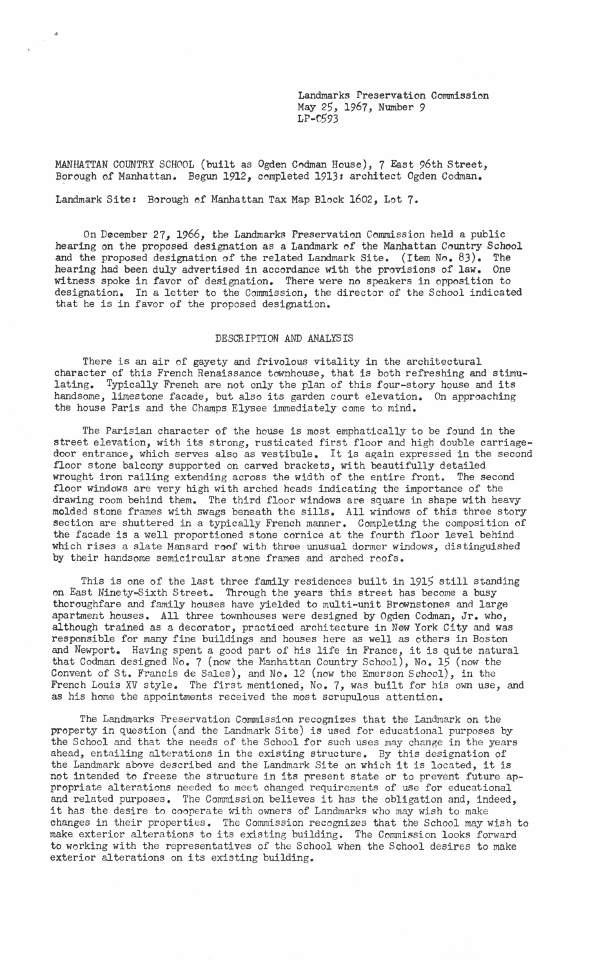Landmarks Preservation Commission May 25, 1967, Number *9*  LP-o593

MANHATTAN COUNTRY SCHOOL (built as Ogden Codman House), 7 East 96th Street, Borough of Manhattan. Begun 1912, completed 1913: architect Ogden Codman.

Landmark Site: Borough of Manhattan Tax Map Block 1602, Lot 7.

 $\omega^{-1}$ 

On December 27, 1966, the Landmarks Preservation Commission held a public hearing on the proposed designation as a Landmark of the Manhattan Country School and the proposed designation of the related Landmark Site. (Item No. 83). The hearing had been duly advertised in accordance with the provisions of law. One witness spoke in favor of designation. There were no speakers in opposition to designation. In a letter to the Commission, the director of the School indicated that he is in favor of the proposed designation.

## DESCRIPTION AND ANALYSIS

There is an air of gayety and frivolous vitality in the architectural character of this French Renaissance townhouse, that is both refreshing and stimulating. Typically French are not only the plan of this four-story house and its handsome, limestone facade, but also its garden court elevation. On approaching the house Paris and the Champs Elysee immediately come to mind.

The Parisian character of the house is most emphatically to be found in the street elevation, with its strong, rusticated first floor and high double carriagedoor entrance, which serves also as vestibule. It is again expressed in the second floor stone balcony supported on carved brackets, with beautifully detailed wrought iron railing extending across the width of the entire front. The second floor windows are very high with arched heads indicating the importance of the drawing room behind them. The third floor windows are square in shape with heavy molded stone frames with swags beneath the sills. All windows of this three story section are shuttered in a typically French manner. Completing the composition of the facade is a well proportioned stone cornice at the fourth floor level behind which rises a slate Mansard roof with three unusual dormer windows, distinguished by their handsome semicircular stone frames and arched roofs.

This is one of the last three family residences built in 1915 still standing on East Ninety-Sixth Street. Through the years this street has become a busy thoroughfare and family houses have yielded to multi-unit Brownstones and large apartment houses. All three townhouses were designed by Ogden Codman, Jr. who, although trained as a decorator, practiced architecture in New York City and was responsible for many fine buildings and houses here as well as others in Boston and Newport. Having spent a good part of his life in France, it is quite natural that Codman designed No. 7 (now the Manhattan Country School), No. 15 (now the Convent of St. Francis de Sales), and No. 12 (now the Emerson School), in the French Louis XV style. The first mentioned, No. 7, was built for his own use, and as his home the appointments received the most scrupulous attention.

The Landmarks Preservation Commission recognizes that the Landmark on the property in question (and the Landmark Site) is used for educational purposes by the School and that the needs of the School for such uses may change in the years ahead, entailing alterations in the existing structure. By this designation of the Landmark above described and the Landmark Site on which it is located, it is not intended to freeze the structure in its present state or to prevent future appropriate alterations needed to meet changed requirements of use for educational and related purposes. The Commission believes it has the obligation and, indeed, it has the desire to cooperate with owners of Landmarks who may wish to make changes in their properties. The Commission recognizes that the School may wish to make exterior alterations to its existing building. The Commission looks forward to working with the representatives of the School when the School desires to make exterior alterations on its existing building.